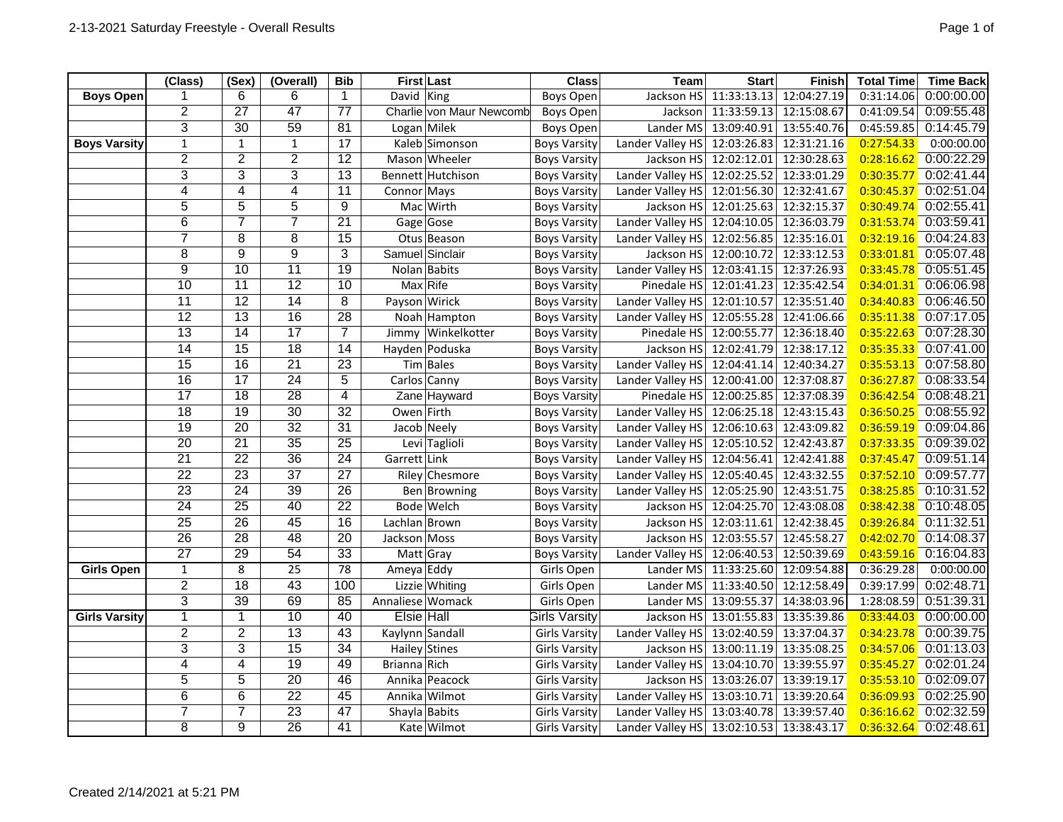|                      | (Class)         | (sex)           | (Overall)       | <b>Bib</b>      | <b>First Last</b>                            | <b>Class</b>         | Team                                     | <b>Start</b>            | <b>Finish</b> | <b>Total Time</b> | <b>Time Back</b> |
|----------------------|-----------------|-----------------|-----------------|-----------------|----------------------------------------------|----------------------|------------------------------------------|-------------------------|---------------|-------------------|------------------|
| <b>Boys Open</b>     |                 | 6               | 6               | $\mathbf{1}$    | David King                                   | <b>Boys Open</b>     | Jackson HS                               | 11:33:13.13             | 12:04:27.19   | 0:31:14.06        | 0:00:00.00       |
|                      | $\overline{2}$  | $\overline{27}$ | $\overline{47}$ | $\overline{77}$ | Charlie von Maur Newcomb<br><b>Boys Open</b> |                      | Jackson                                  | 11:33:59.13             | 12:15:08.67   | 0:41:09.54        | 0:09:55.48       |
|                      | $\overline{3}$  | $\overline{30}$ | 59              | 81              | Logan Milek                                  | <b>Boys Open</b>     | Lander MS                                | 13:09:40.91             | 13:55:40.76   | 0:45:59.85        | 0:14:45.79       |
| <b>Boys Varsity</b>  | $\mathbf{1}$    | $\mathbf{1}$    | $\mathbf{1}$    | 17              | Kaleb Simonson                               | <b>Boys Varsity</b>  | Lander Valley HS 12:03:26.83             |                         | 12:31:21.16   | 0:27:54.33        | 0:00:00.00       |
|                      | $\overline{2}$  | $\overline{2}$  | $\overline{2}$  | $\overline{12}$ | Mason Wheeler                                | <b>Boys Varsity</b>  |                                          | Jackson HS 12:02:12.01  | 12:30:28.63   | 0:28:16.62        | 0:00:22.29       |
|                      | 3               | 3               | $\overline{3}$  | $\overline{13}$ | <b>Bennett Hutchison</b>                     | <b>Boys Varsity</b>  | Lander Valley HS 12:02:25.52             |                         | 12:33:01.29   | 0:30:35.77        | 0:02:41.44       |
|                      | 4               | $\overline{4}$  | $\overline{4}$  | $\overline{11}$ | Connor Mays                                  | <b>Boys Varsity</b>  | Lander Valley HS 12:01:56.30             |                         | 12:32:41.67   | 0:30:45.37        | 0:02:51.04       |
|                      | 5               | 5               | $\overline{5}$  | 9               | Mac Wirth                                    | <b>Boys Varsity</b>  |                                          | Jackson HS 12:01:25.63  | 12:32:15.37   | 0:30:49.74        | 0:02:55.41       |
|                      | 6               | $\overline{7}$  | $\overline{7}$  | $\overline{21}$ | Gage Gose                                    | <b>Boys Varsity</b>  | Lander Valley HS 12:04:10.05             |                         | 12:36:03.79   | 0:31:53.74        | 0:03:59.41       |
|                      | 7               | 8               | 8               | 15              | Otus Beason                                  | <b>Boys Varsity</b>  | Lander Valley HS 12:02:56.85             |                         | 12:35:16.01   | 0:32:19.16        | 0:04:24.83       |
|                      | 8               | 9               | $\overline{9}$  | 3               | Samuel Sinclair                              | <b>Boys Varsity</b>  |                                          | Jackson HS 12:00:10.72  | 12:33:12.53   | 0:33:01.81        | 0:05:07.48       |
|                      | $\overline{9}$  | $\overline{10}$ | $\overline{11}$ | $\overline{19}$ | Nolan Babits                                 | <b>Boys Varsity</b>  | Lander Valley HS 12:03:41.15             |                         | 12:37:26.93   | 0:33:45.78        | 0:05:51.45       |
|                      | 10              | $\overline{11}$ | $\overline{12}$ | 10              | Max Rife                                     | <b>Boys Varsity</b>  |                                          | Pinedale HS 12:01:41.23 | 12:35:42.54   | 0:34:01.31        | 0:06:06.98       |
|                      | 11              | 12              | 14              | 8               | Payson Wirick                                | <b>Boys Varsity</b>  | Lander Valley HS 12:01:10.57             |                         | 12:35:51.40   | 0:34:40.83        | 0:06:46.50       |
|                      | $\overline{12}$ | $\overline{13}$ | 16              | $\overline{28}$ | Noah Hampton                                 | <b>Boys Varsity</b>  | Lander Valley HS 12:05:55.28             |                         | 12:41:06.66   | 0:35:11.38        | 0:07:17.05       |
|                      | $\overline{13}$ | $\overline{14}$ | 17              | $\overline{7}$  | Winkelkotter<br>Jimmy                        | <b>Boys Varsity</b>  |                                          | Pinedale HS 12:00:55.77 | 12:36:18.40   | 0:35:22.63        | 0:07:28.30       |
|                      | $\overline{14}$ | $\overline{15}$ | $\overline{18}$ | $\overline{14}$ | Hayden Poduska                               | <b>Boys Varsity</b>  |                                          | Jackson HS 12:02:41.79  | 12:38:17.12   | 0:35:35.33        | 0:07:41.00       |
|                      | $\overline{15}$ | 16              | $\overline{21}$ | $\overline{23}$ | Tim Bales                                    | <b>Boys Varsity</b>  | Lander Valley HS $12:04:41.14$           |                         | 12:40:34.27   | 0:35:53.13        | 0:07:58.80       |
|                      | 16              | 17              | 24              | $\overline{5}$  | Carlos Canny                                 | <b>Boys Varsity</b>  | Lander Valley HS 12:00:41.00             |                         | 12:37:08.87   | 0:36:27.87        | 0:08:33.54       |
|                      | $\overline{17}$ | $\overline{18}$ | $\overline{28}$ | 4               | Zane Hayward                                 | <b>Boys Varsity</b>  |                                          | Pinedale HS 12:00:25.85 | 12:37:08.39   | 0:36:42.54        | 0:08:48.21       |
|                      | $\overline{18}$ | $\overline{19}$ | $\overline{30}$ | $\overline{32}$ | Owen Firth                                   | <b>Boys Varsity</b>  | Lander Valley HS 12:06:25.18             |                         | 12:43:15.43   | 0:36:50.25        | 0:08:55.92       |
|                      | $\overline{19}$ | $\overline{20}$ | 32              | 31              | Jacob Neely                                  | <b>Boys Varsity</b>  | Lander Valley HS 12:06:10.63             |                         | 12:43:09.82   | 0:36:59.19        | 0:09:04.86       |
|                      | $\overline{20}$ | $\overline{21}$ | $\overline{35}$ | $\overline{25}$ | Levi Taglioli                                | <b>Boys Varsity</b>  | Lander Valley HS 12:05:10.52             |                         | 12:42:43.87   | 0:37:33.35        | 0:09:39.02       |
|                      | $\overline{21}$ | $\overline{22}$ | $\overline{36}$ | $\overline{24}$ | Garrett Link                                 | <b>Boys Varsity</b>  | Lander Valley HS 12:04:56.41             |                         | 12:42:41.88   | 0:37:45.47        | 0:09:51.14       |
|                      | $\overline{22}$ | $\overline{23}$ | $\overline{37}$ | $\overline{27}$ | Riley Chesmore                               | <b>Boys Varsity</b>  | Lander Valley HS 12:05:40.45             |                         | 12:43:32.55   | 0:37:52.10        | 0:09:57.77       |
|                      | $\overline{23}$ | $\overline{24}$ | $\overline{39}$ | $\overline{26}$ | Ben Browning                                 | <b>Boys Varsity</b>  | Lander Valley HS 12:05:25.90             |                         | 12:43:51.75   | 0:38:25.85        | 0:10:31.52       |
|                      | $\overline{24}$ | 25              | 40              | $\overline{22}$ | Bode Welch                                   | <b>Boys Varsity</b>  |                                          | Jackson HS 12:04:25.70  | 12:43:08.08   | 0:38:42.38        | 0:10:48.05       |
|                      | $\overline{25}$ | $\overline{26}$ | 45              | $\overline{16}$ | Lachlan Brown                                | <b>Boys Varsity</b>  |                                          | Jackson HS 12:03:11.61  | 12:42:38.45   | 0:39:26.84        | 0:11:32.51       |
|                      | $\overline{26}$ | $\overline{28}$ | 48              | $\overline{20}$ | Jackson Moss                                 | <b>Boys Varsity</b>  |                                          | Jackson HS 12:03:55.57  | 12:45:58.27   | 0:42:02.70        | 0:14:08.37       |
|                      | $\overline{27}$ | 29              | 54              | $\overline{33}$ | Matt Gray                                    | <b>Boys Varsity</b>  | Lander Valley HS 12:06:40.53             |                         | 12:50:39.69   | 0:43:59.16        | 0:16:04.83       |
| Girls Open           | $\mathbf{1}$    | $\overline{8}$  | $\overline{25}$ | 78              | Ameya Eddy                                   | Girls Open           |                                          | Lander MS 11:33:25.60   | 12:09:54.88   | 0:36:29.28        | 0:00:00.00       |
|                      | $\overline{2}$  | $\overline{18}$ | $\overline{43}$ | 100             | Lizzie Whiting                               | Girls Open           |                                          | Lander MS 11:33:40.50   | 12:12:58.49   | 0:39:17.99        | 0:02:48.71       |
|                      | 3               | 39              | 69              | 85              | Annaliese Womack                             | Girls Open           |                                          | Lander MS 13:09:55.37   | 14:38:03.96   | 1:28:08.59        | 0:51:39.31       |
| <b>Girls Varsity</b> | 1               | $\mathbf{1}$    | 10              | 40              | Elsie Hall                                   | Girls Varsitv        | Jackson HS                               | 13:01:55.83             | 13:35:39.86   | 0:33:44.03        | 0:00:00.00       |
|                      | $\overline{2}$  | $\overline{2}$  | $\overline{13}$ | 43              | Kaylynn Sandall                              | <b>Girls Varsity</b> | Lander Valley HS $13:02:40.59$           |                         | 13:37:04.37   | 0:34:23.78        | 0:00:39.75       |
|                      | $\overline{3}$  | 3               | 15              | $\overline{34}$ | Hailey Stines                                | <b>Girls Varsity</b> |                                          | Jackson HS 13:00:11.19  | 13:35:08.25   | 0:34:57.06        | 0:01:13.03       |
|                      | $\overline{4}$  | 4               | $\overline{19}$ | 49              | Brianna Rich                                 | <b>Girls Varsity</b> | Lander Valley HS 13:04:10.70             |                         | 13:39:55.97   | 0:35:45.27        | 0:02:01.24       |
|                      | 5               | 5               | $\overline{20}$ | 46              | Annika Peacock                               | <b>Girls Varsity</b> |                                          | Jackson HS 13:03:26.07  | 13:39:19.17   | 0:35:53.10        | 0:02:09.07       |
|                      | $\overline{6}$  | $\overline{6}$  | $\overline{22}$ | 45              | Annika Wilmot                                | <b>Girls Varsity</b> | Lander Valley HS 13:03:10.71             |                         | 13:39:20.64   | 0:36:09.93        | 0:02:25.90       |
|                      | $\overline{7}$  | $\overline{7}$  | $\overline{23}$ | $\overline{47}$ | Shayla Babits                                | <b>Girls Varsity</b> | Lander Valley HS 13:03:40.78             |                         | 13:39:57.40   | 0:36:16.62        | 0:02:32.59       |
|                      | 8               | 9               | 26              | $\overline{41}$ | Kate Wilmot                                  | <b>Girls Varsity</b> | Lander Valley HS 13:02:10.53 13:38:43.17 |                         |               | 0:36:32.64        | 0:02:48.61       |